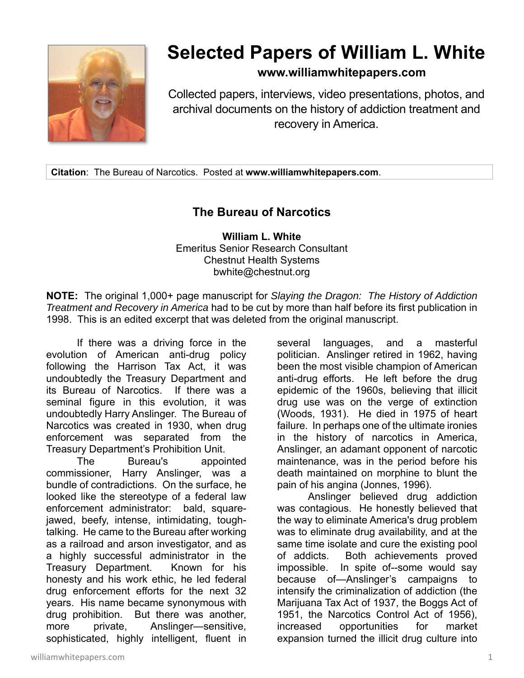

## **Selected Papers of William L. White**

## **www.williamwhitepapers.com**

Collected papers, interviews, video presentations, photos, and archival documents on the history of addiction treatment and recovery in America.

**Citation**: The Bureau of Narcotics. Posted at **www.williamwhitepapers.com**.

## **The Bureau of Narcotics**

**William L. White**  Emeritus Senior Research Consultant Chestnut Health Systems bwhite@chestnut.org

**NOTE:** The original 1,000+ page manuscript for *Slaying the Dragon: The History of Addiction Treatment and Recovery in America* had to be cut by more than half before its first publication in 1998. This is an edited excerpt that was deleted from the original manuscript.

If there was a driving force in the evolution of American anti-drug policy following the Harrison Tax Act, it was undoubtedly the Treasury Department and its Bureau of Narcotics. If there was a seminal figure in this evolution, it was undoubtedly Harry Anslinger. The Bureau of Narcotics was created in 1930, when drug enforcement was separated from the Treasury Department's Prohibition Unit.

 The Bureau's appointed commissioner, Harry Anslinger, was a bundle of contradictions. On the surface, he looked like the stereotype of a federal law enforcement administrator: bald, squarejawed, beefy, intense, intimidating, toughtalking. He came to the Bureau after working as a railroad and arson investigator, and as a highly successful administrator in the Treasury Department. Known for his honesty and his work ethic, he led federal drug enforcement efforts for the next 32 years. His name became synonymous with drug prohibition. But there was another, more private, Anslinger-sensitive, sophisticated, highly intelligent, fluent in several languages, and a masterful politician. Anslinger retired in 1962, having been the most visible champion of American anti-drug efforts. He left before the drug epidemic of the 1960s, believing that illicit drug use was on the verge of extinction (Woods, 1931). He died in 1975 of heart failure. In perhaps one of the ultimate ironies in the history of narcotics in America, Anslinger, an adamant opponent of narcotic maintenance, was in the period before his death maintained on morphine to blunt the pain of his angina (Jonnes, 1996).

Anslinger believed drug addiction was contagious. He honestly believed that the way to eliminate America's drug problem was to eliminate drug availability, and at the same time isolate and cure the existing pool of addicts. Both achievements proved impossible. In spite of--some would say because of—Anslinger's campaigns to intensify the criminalization of addiction (the Marijuana Tax Act of 1937, the Boggs Act of 1951, the Narcotics Control Act of 1956), increased opportunities for market expansion turned the illicit drug culture into